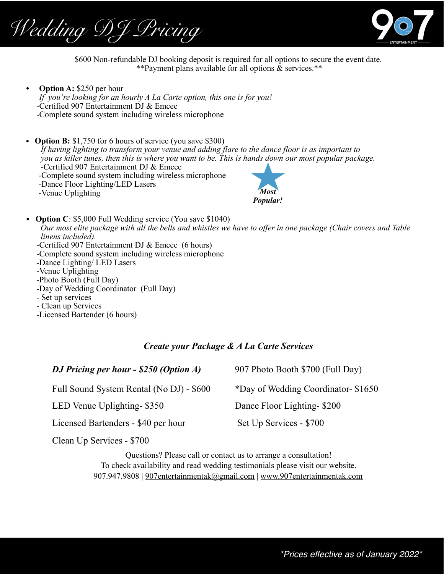*Wedding DJ Pricing*



\$600 Non-refundable DJ booking deposit is required for all options to secure the event date. \*\*Payment plans available for all options & services.\*\*

*•* **Option A:** \$250 per hour *If you're looking for an hourly A La Carte option, this one is for you!*  -Certified 907 Entertainment DJ & Emcee -Complete sound system including wireless microphone

• **Option B:** \$1,750 for 6 hours of service (you save \$300) *If having lighting to transform your venue and adding flare to the dance floor is as important to you as killer tunes, then this is where you want to be. This is hands down our most popular package.*  -Certified 907 Entertainment DJ & Emcee -Complete sound system including wireless microphone -Dance Floor Lighting/LED Lasers -Venue Uplighting *Most Popular!*

• **Option C**: \$5,000 Full Wedding service (You save \$1040)  *Our most elite package with all the bells and whistles we have to offer in one package (Chair covers and Table linens included).*  -Certified 907 Entertainment DJ & Emcee (6 hours) -Complete sound system including wireless microphone -Dance Lighting/ LED Lasers -Venue Uplighting -Photo Booth (Full Day) -Day of Wedding Coordinator (Full Day) - Set up services - Clean up Services -Licensed Bartender (6 hours)

## *Create your Package & A La Carte Services*

| DJ Pricing per hour - \$250 (Option A)   | 907 Photo Booth \$700 (Full Day)    |
|------------------------------------------|-------------------------------------|
| Full Sound System Rental (No DJ) - \$600 | *Day of Wedding Coordinator- \$1650 |
| LED Venue Uplighting-\$350               | Dance Floor Lighting-\$200          |
| Licensed Bartenders - \$40 per hour      | Set Up Services - \$700             |

Clean Up Services - \$700

Questions? Please call or contact us to arrange a consultation! To check availability and read wedding testimonials please visit our website. 907.947.9808 | [907entertainmentak@gmail.com](mailto:907entertainmentak@gmail.com) | [www.907entertainmentak.com](http://www.907entertainmentak.com)